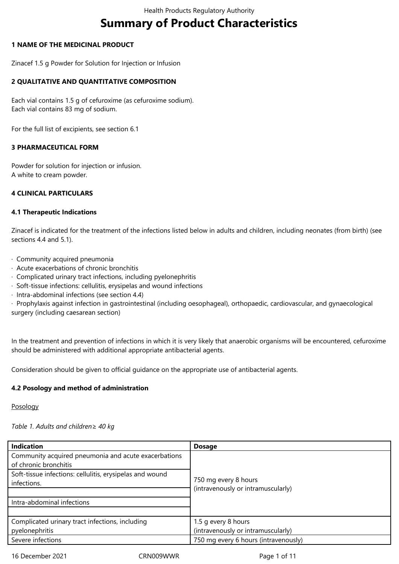# **Summary of Product Characteristics**

## **1 NAME OF THE MEDICINAL PRODUCT**

Zinacef 1.5 g Powder for Solution for Injection or Infusion

## **2 QUALITATIVE AND QUANTITATIVE COMPOSITION**

Each vial contains 1.5 g of cefuroxime (as cefuroxime sodium). Each vial contains 83 mg of sodium.

For the full list of excipients, see section 6.1

## **3 PHARMACEUTICAL FORM**

Powder for solution for injection or infusion. A white to cream powder.

## **4 CLINICAL PARTICULARS**

#### **4.1 Therapeutic Indications**

Zinacef is indicated for the treatment of the infections listed below in adults and children, including neonates (from birth) (see sections 4.4 and 5.1).

- · Community acquired pneumonia
- · Acute exacerbations of chronic bronchitis
- · Complicated urinary tract infections, including pyelonephritis
- · Soft-tissue infections: cellulitis, erysipelas and wound infections
- · Intra-abdominal infections (see section 4.4)

· Prophylaxis against infection in gastrointestinal (including oesophageal), orthopaedic, cardiovascular, and gynaecological surgery (including caesarean section)

In the treatment and prevention of infections in which it is very likely that anaerobic organisms will be encountered, cefuroxime should be administered with additional appropriate antibacterial agents.

Consideration should be given to official guidance on the appropriate use of antibacterial agents.

#### **4.2 Posology and method of administration**

Posology

#### *Table 1. Adults and children≥ 40 kg*

| <b>Indication</b>                                                                 | <b>Dosage</b>                                              |
|-----------------------------------------------------------------------------------|------------------------------------------------------------|
| Community acquired pneumonia and acute exacerbations                              |                                                            |
|                                                                                   |                                                            |
|                                                                                   |                                                            |
| infections.                                                                       |                                                            |
|                                                                                   |                                                            |
| Intra-abdominal infections                                                        |                                                            |
|                                                                                   |                                                            |
| Complicated urinary tract infections, including                                   | 1.5 g every 8 hours                                        |
| pyelonephritis                                                                    | (intravenously or intramuscularly)                         |
| Severe infections                                                                 | 750 mg every 6 hours (intravenously)                       |
| of chronic bronchitis<br>Soft-tissue infections: cellulitis, erysipelas and wound | 750 mg every 8 hours<br>(intravenously or intramuscularly) |

16 December 2021 CRN009WWR Page 1 of 11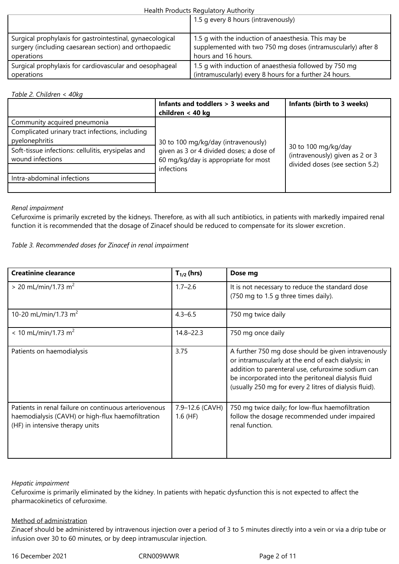|                                                           | 1.5 g every 8 hours (intravenously)                          |
|-----------------------------------------------------------|--------------------------------------------------------------|
| Surgical prophylaxis for gastrointestinal, gynaecological | 1.5 q with the induction of anaesthesia. This may be         |
| surgery (including caesarean section) and orthopaedic     | supplemented with two 750 mg doses (intramuscularly) after 8 |
| operations                                                | hours and 16 hours.                                          |
| Surgical prophylaxis for cardiovascular and oesophageal   | 1.5 g with induction of anaesthesia followed by 750 mg       |
| operations                                                | (intramuscularly) every 8 hours for a further 24 hours.      |

## *Table 2. Children < 40kg*

|                                                                        | Infants and toddlers > 3 weeks and<br>children < 40 kg                           | Infants (birth to 3 weeks)                                                                |
|------------------------------------------------------------------------|----------------------------------------------------------------------------------|-------------------------------------------------------------------------------------------|
| Community acquired pneumonia                                           |                                                                                  |                                                                                           |
| Complicated urinary tract infections, including<br>pyelonephritis      | 30 to 100 mg/kg/day (intravenously)                                              | 30 to 100 mg/kg/day<br>(intravenously) given as 2 or 3<br>divided doses (see section 5.2) |
| Soft-tissue infections: cellulitis, erysipelas and<br>wound infections | given as 3 or 4 divided doses; a dose of<br>60 mg/kg/day is appropriate for most |                                                                                           |
|                                                                        | infections                                                                       |                                                                                           |
| Intra-abdominal infections                                             |                                                                                  |                                                                                           |
|                                                                        |                                                                                  |                                                                                           |

## *Renal impairment*

Cefuroxime is primarily excreted by the kidneys. Therefore, as with all such antibiotics, in patients with markedly impaired renal function it is recommended that the dosage of Zinacef should be reduced to compensate for its slower excretion.

## *Table 3. Recommended doses for Zinacef in renal impairment*

| <b>Creatinine clearance</b>                                                                                                                   | $T_{1/2}$ (hrs)               | Dose mg                                                                                                                                                                                                                                                                        |
|-----------------------------------------------------------------------------------------------------------------------------------------------|-------------------------------|--------------------------------------------------------------------------------------------------------------------------------------------------------------------------------------------------------------------------------------------------------------------------------|
| $> 20$ mL/min/1.73 m <sup>2</sup>                                                                                                             | $1.7 - 2.6$                   | It is not necessary to reduce the standard dose<br>(750 mg to 1.5 g three times daily).                                                                                                                                                                                        |
| 10-20 mL/min/1.73 m <sup>2</sup>                                                                                                              | $4.3 - 6.5$                   | 750 mg twice daily                                                                                                                                                                                                                                                             |
| $< 10$ mL/min/1.73 m <sup>2</sup>                                                                                                             | $14.8 - 22.3$                 | 750 mg once daily                                                                                                                                                                                                                                                              |
| Patients on haemodialysis                                                                                                                     | 3.75                          | A further 750 mg dose should be given intravenously<br>or intramuscularly at the end of each dialysis; in<br>addition to parenteral use, cefuroxime sodium can<br>be incorporated into the peritoneal dialysis fluid<br>(usually 250 mg for every 2 litres of dialysis fluid). |
| Patients in renal failure on continuous arteriovenous<br>haemodialysis (CAVH) or high-flux haemofiltration<br>(HF) in intensive therapy units | 7.9-12.6 (CAVH)<br>$1.6$ (HF) | 750 mg twice daily; for low-flux haemofiltration<br>follow the dosage recommended under impaired<br>renal function.                                                                                                                                                            |

## *Hepatic impairment*

Cefuroxime is primarily eliminated by the kidney. In patients with hepatic dysfunction this is not expected to affect the pharmacokinetics of cefuroxime.

## Method of administration

Zinacef should be administered by intravenous injection over a period of 3 to 5 minutes directly into a vein or via a drip tube or infusion over 30 to 60 minutes, or by deep intramuscular injection.

16 December 2021 CRN009WWR Page 2 of 11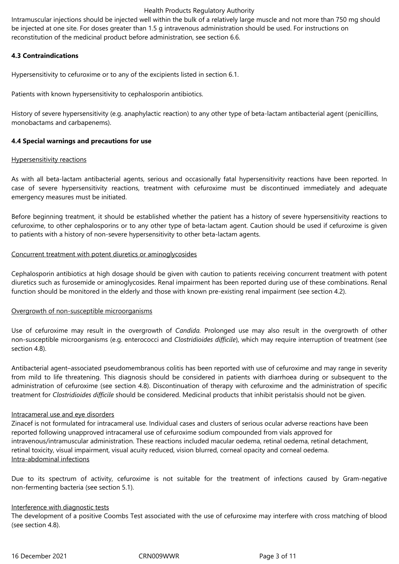Intramuscular injections should be injected well within the bulk of a relatively large muscle and not more than 750 mg should be injected at one site. For doses greater than 1.5 g intravenous administration should be used. For instructions on reconstitution of the medicinal product before administration, see section 6.6.

## **4.3 Contraindications**

Hypersensitivity to cefuroxime or to any of the excipients listed in section 6.1.

Patients with known hypersensitivity to cephalosporin antibiotics.

History of severe hypersensitivity (e.g. anaphylactic reaction) to any other type of beta-lactam antibacterial agent (penicillins, monobactams and carbapenems).

## **4.4 Special warnings and precautions for use**

#### Hypersensitivity reactions

As with all beta-lactam antibacterial agents, serious and occasionally fatal hypersensitivity reactions have been reported. In case of severe hypersensitivity reactions, treatment with cefuroxime must be discontinued immediately and adequate emergency measures must be initiated.

Before beginning treatment, it should be established whether the patient has a history of severe hypersensitivity reactions to cefuroxime, to other cephalosporins or to any other type of beta-lactam agent. Caution should be used if cefuroxime is given to patients with a history of non-severe hypersensitivity to other beta-lactam agents.

## Concurrent treatment with potent diuretics or aminoglycosides

Cephalosporin antibiotics at high dosage should be given with caution to patients receiving concurrent treatment with potent diuretics such as furosemide or aminoglycosides. Renal impairment has been reported during use of these combinations. Renal function should be monitored in the elderly and those with known pre-existing renal impairment (see section 4.2).

#### Overgrowth of non-susceptible microorganisms

Use of cefuroxime may result in the overgrowth of *Candida.* Prolonged use may also result in the overgrowth of other non-susceptible microorganisms (e.g. enterococci and *Clostridioides difficile*), which may require interruption of treatment (see section 4.8).

Antibacterial agent–associated pseudomembranous colitis has been reported with use of cefuroxime and may range in severity from mild to life threatening. This diagnosis should be considered in patients with diarrhoea during or subsequent to the administration of cefuroxime (see section 4.8). Discontinuation of therapy with cefuroxime and the administration of specific treatment for *Clostridioides difficile* should be considered. Medicinal products that inhibit peristalsis should not be given.

#### Intracameral use and eye disorders

Zinacef is not formulated for intracameral use. Individual cases and clusters of serious ocular adverse reactions have been reported following unapproved intracameral use of cefuroxime sodium compounded from vials approved for intravenous/intramuscular administration. These reactions included macular oedema, retinal oedema, retinal detachment, retinal toxicity, visual impairment, visual acuity reduced, vision blurred, corneal opacity and corneal oedema. Intra-abdominal infections

Due to its spectrum of activity, cefuroxime is not suitable for the treatment of infections caused by Gram-negative non-fermenting bacteria (see section 5.1).

#### Interference with diagnostic tests

The development of a positive Coombs Test associated with the use of cefuroxime may interfere with cross matching of blood (see section 4.8).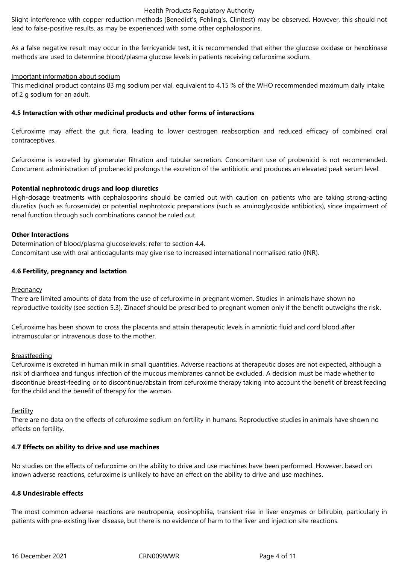Slight interference with copper reduction methods (Benedict's, Fehling's, Clinitest) may be observed. However, this should not lead to false-positive results, as may be experienced with some other cephalosporins.

As a false negative result may occur in the ferricyanide test, it is recommended that either the glucose oxidase or hexokinase methods are used to determine blood/plasma glucose levels in patients receiving cefuroxime sodium.

#### Important information about sodium

This medicinal product contains 83 mg sodium per vial, equivalent to 4.15 % of the WHO recommended maximum daily intake of 2 g sodium for an adult.

#### **4.5 Interaction with other medicinal products and other forms of interactions**

Cefuroxime may affect the gut flora, leading to lower oestrogen reabsorption and reduced efficacy of combined oral contraceptives.

Cefuroxime is excreted by glomerular filtration and tubular secretion. Concomitant use of probenicid is not recommended. Concurrent administration of probenecid prolongs the excretion of the antibiotic and produces an elevated peak serum level.

#### **Potential nephrotoxic drugs and loop diuretics**

High-dosage treatments with cephalosporins should be carried out with caution on patients who are taking strong-acting diuretics (such as furosemide) or potential nephrotoxic preparations (such as aminoglycoside antibiotics), since impairment of renal function through such combinations cannot be ruled out.

#### **Other Interactions**

Determination of blood/plasma glucoselevels: refer to section 4.4. Concomitant use with oral anticoagulants may give rise to increased international normalised ratio (INR).

#### **4.6 Fertility, pregnancy and lactation**

#### **Pregnancy**

There are limited amounts of data from the use of cefuroxime in pregnant women. Studies in animals have shown no reproductive toxicity (see section 5.3). Zinacef should be prescribed to pregnant women only if the benefit outweighs the risk.

Cefuroxime has been shown to cross the placenta and attain therapeutic levels in amniotic fluid and cord blood after intramuscular or intravenous dose to the mother.

#### Breastfeeding

Cefuroxime is excreted in human milk in small quantities. Adverse reactions at therapeutic doses are not expected, although a risk of diarrhoea and fungus infection of the mucous membranes cannot be excluded. A decision must be made whether to discontinue breast-feeding or to discontinue/abstain from cefuroxime therapy taking into account the benefit of breast feeding for the child and the benefit of therapy for the woman.

#### **Fertility**

There are no data on the effects of cefuroxime sodium on fertility in humans. Reproductive studies in animals have shown no effects on fertility.

#### **4.7 Effects on ability to drive and use machines**

No studies on the effects of cefuroxime on the ability to drive and use machines have been performed. However, based on known adverse reactions, cefuroxime is unlikely to have an effect on the ability to drive and use machines.

#### **4.8 Undesirable effects**

The most common adverse reactions are neutropenia, eosinophilia, transient rise in liver enzymes or bilirubin, particularly in patients with pre-existing liver disease, but there is no evidence of harm to the liver and injection site reactions.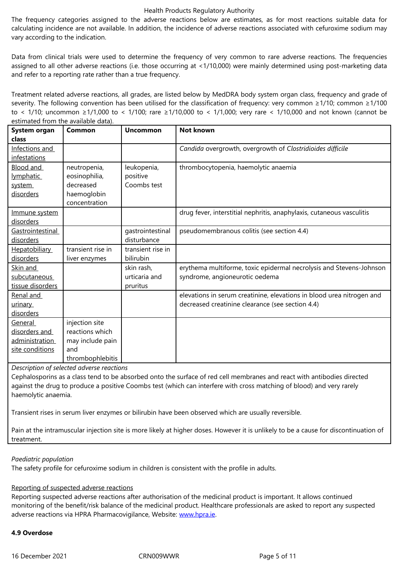vary according to the indication.

Data from clinical trials were used to determine the frequency of very common to rare adverse reactions. The frequencies assigned to all other adverse reactions (i.e. those occurring at <1/10,000) were mainly determined using post-marketing data and refer to a reporting rate rather than a true frequency.

Treatment related adverse reactions, all grades, are listed below by MedDRA body system organ class, frequency and grade of severity. The following convention has been utilised for the classification of frequency: very common ≥1/10; common ≥1/100 to < 1/10; uncommon ≥1/1,000 to < 1/100; rare ≥1/10,000 to < 1/1,000; very rare < 1/10,000 and not known (cannot be estimated from the available data).

| System organ         | Common            | <b>Uncommon</b>   | <b>Not known</b>                                                      |
|----------------------|-------------------|-------------------|-----------------------------------------------------------------------|
| class                |                   |                   |                                                                       |
| Infections and       |                   |                   | Candida overgrowth, overgrowth of Clostridioides difficile            |
| infestations         |                   |                   |                                                                       |
| Blood and            | neutropenia,      | leukopenia,       | thrombocytopenia, haemolytic anaemia                                  |
| lymphatic            | eosinophilia,     | positive          |                                                                       |
| system               | decreased         | Coombs test       |                                                                       |
| disorders            | haemoglobin       |                   |                                                                       |
|                      | concentration     |                   |                                                                       |
| Immune system        |                   |                   | drug fever, interstitial nephritis, anaphylaxis, cutaneous vasculitis |
| disorders            |                   |                   |                                                                       |
| Gastrointestinal     |                   | gastrointestinal  | pseudomembranous colitis (see section 4.4)                            |
| disorders            |                   | disturbance       |                                                                       |
| <b>Hepatobiliary</b> | transient rise in | transient rise in |                                                                       |
| disorders            | liver enzymes     | bilirubin         |                                                                       |
| Skin and             |                   | skin rash,        | erythema multiforme, toxic epidermal necrolysis and Stevens-Johnson   |
| subcutaneous         |                   | urticaria and     | syndrome, angioneurotic oedema                                        |
| tissue disorders     |                   | pruritus          |                                                                       |
| Renal and            |                   |                   | elevations in serum creatinine, elevations in blood urea nitrogen and |
| urinary              |                   |                   | decreased creatinine clearance (see section 4.4)                      |
| disorders            |                   |                   |                                                                       |
| General              | injection site    |                   |                                                                       |
| disorders and        | reactions which   |                   |                                                                       |
| administration       | may include pain  |                   |                                                                       |
| site conditions      | and               |                   |                                                                       |
|                      | thrombophlebitis  |                   |                                                                       |

*Description of selected adverse reactions*

Cephalosporins as a class tend to be absorbed onto the surface of red cell membranes and react with antibodies directed against the drug to produce a positive Coombs test (which can interfere with cross matching of blood) and very rarely haemolytic anaemia.

Transient rises in serum liver enzymes or bilirubin have been observed which are usually reversible.

Pain at the intramuscular injection site is more likely at higher doses. However it is unlikely to be a cause for discontinuation of treatment.

#### *Paediatric population*

The safety profile for cefuroxime sodium in children is consistent with the profile in adults.

# Reporting of suspected adverse reactions

Reporting suspected adverse reactions after authorisation of the medicinal product is important. It allows continued monitoring of the benefit/risk balance of the medicinal product. Healthcare professionals are asked to report any suspected adverse reactions via HPRA Pharmacovigilance, Website: www.hpra.ie.

# **4.9 Overdose**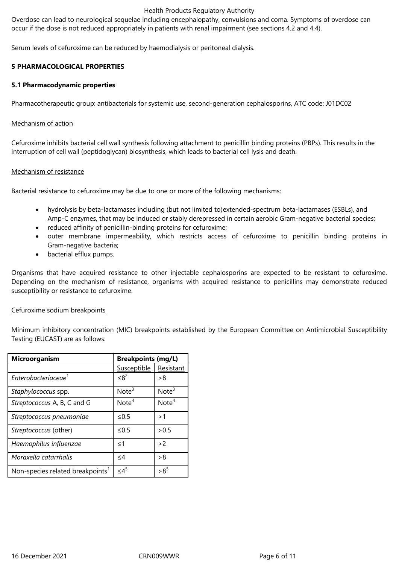Overdose can lead to neurological sequelae including encephalopathy, convulsions and coma. Symptoms of overdose can occur if the dose is not reduced appropriately in patients with renal impairment (see sections 4.2 and 4.4).

Serum levels of cefuroxime can be reduced by haemodialysis or peritoneal dialysis.

## **5 PHARMACOLOGICAL PROPERTIES**

#### **5.1 Pharmacodynamic properties**

Pharmacotherapeutic group: antibacterials for systemic use, second-generation cephalosporins, ATC code: J01DC02

#### Mechanism of action

Cefuroxime inhibits bacterial cell wall synthesis following attachment to penicillin binding proteins (PBPs). This results in the interruption of cell wall (peptidoglycan) biosynthesis, which leads to bacterial cell lysis and death.

#### Mechanism of resistance

Bacterial resistance to cefuroxime may be due to one or more of the following mechanisms:

- hydrolysis by beta-lactamases including (but not limited to)extended-spectrum beta-lactamases (ESBLs), and Amp-C enzymes, that may be induced or stably derepressed in certain aerobic Gram-negative bacterial species;
- reduced affinity of penicillin-binding proteins for cefuroxime;
- outer membrane impermeability, which restricts access of cefuroxime to penicillin binding proteins in Gram-negative bacteria;
- bacterial efflux pumps.

Organisms that have acquired resistance to other injectable cephalosporins are expected to be resistant to cefuroxime. Depending on the mechanism of resistance, organisms with acquired resistance to penicillins may demonstrate reduced susceptibility or resistance to cefuroxime.

#### Cefuroxime sodium breakpoints

Minimum inhibitory concentration (MIC) breakpoints established by the European Committee on Antimicrobial Susceptibility Testing (EUCAST) are as follows:

| <b>Breakpoints (mg/L)</b><br>Microorganism   |                   |                   |
|----------------------------------------------|-------------------|-------------------|
|                                              | Susceptible       | Resistant         |
| Enterobacteriaceae <sup>1</sup>              | $\leq 8^2$        | > 8               |
| Staphylococcus spp.                          | Note <sup>3</sup> | Note <sup>3</sup> |
| Streptococcus A, B, C and G                  | Note <sup>4</sup> | Note <sup>4</sup> |
| Streptococcus pneumoniae                     | $\leq 0.5$        | >1                |
| Streptococcus (other)                        | $\leq 0.5$        | > 0.5             |
| Haemophilus influenzae                       | $\leq$ 1          | >2                |
| Moraxella catarrhalis                        | $\leq$ 4          | > 8               |
| Non-species related breakpoints <sup>1</sup> | $\leq 4^5$        | $>8^5$            |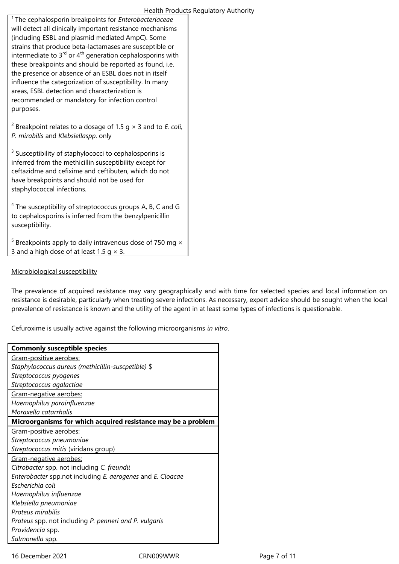<sup>1</sup>The cephalosporin breakpoints for *Enterobacteriaceae* will detect all clinically important resistance mechanisms (including ESBL and plasmid mediated AmpC). Some strains that produce beta-lactamases are susceptible or intermediate to  $3<sup>rd</sup>$  or  $4<sup>th</sup>$  generation cephalosporins with these breakpoints and should be reported as found, i.e. the presence or absence of an ESBL does not in itself influence the categorization of susceptibility. In many areas, ESBL detection and characterization is recommended or mandatory for infection control purposes.

2 Breakpoint relates to a dosage of 1.5 g × 3 and to *E. coli, P. mirabilis* and *Klebsiellaspp*. only

<sup>3</sup> Susceptibility of staphylococci to cephalosporins is inferred from the methicillin susceptibility except for ceftazidme and cefixime and ceftibuten, which do not have breakpoints and should not be used for staphylococcal infections.

<sup>4</sup> The susceptibility of streptococcus groups A, B, C and G to cephalosporins is inferred from the benzylpenicillin susceptibility.

 $5$  Breakpoints apply to daily intravenous dose of 750 mg  $\times$ 3 and a high dose of at least 1.5  $q \times 3$ .

## Microbiological susceptibility

The prevalence of acquired resistance may vary geographically and with time for selected species and local information on resistance is desirable, particularly when treating severe infections. As necessary, expert advice should be sought when the local prevalence of resistance is known and the utility of the agent in at least some types of infections is questionable.

Cefuroxime is usually active against the following microorganisms *in vitro*.

| <b>Commonly susceptible species</b>                           |
|---------------------------------------------------------------|
| Gram-positive aerobes:                                        |
| Staphylococcus aureus (methicillin-suscpetible) \$            |
| Streptococcus pyogenes                                        |
| Streptococcus agalactiae                                      |
| Gram-negative aerobes:                                        |
| Haemophilus parainfluenzae                                    |
| Moraxella catarrhalis                                         |
| Microorganisms for which acquired resistance may be a problem |
| Gram-positive aerobes:                                        |
| Streptococcus pneumoniae                                      |
| Streptococcus mitis (viridans group)                          |
| Gram-negative aerobes:                                        |
| Citrobacter spp. not including C. freundii                    |
| Enterobacter spp.not including E. aerogenes and E. Cloacae    |
| Escherichia coli                                              |
| Haemophilus influenzae                                        |
| Klebsiella pneumoniae                                         |
| Proteus mirabilis                                             |
| Proteus spp. not including P. penneri and P. vulgaris         |
| Providencia spp.                                              |
| Salmonella spp.                                               |
|                                                               |

16 December 2021 **CRN009WWR** Page 7 of 11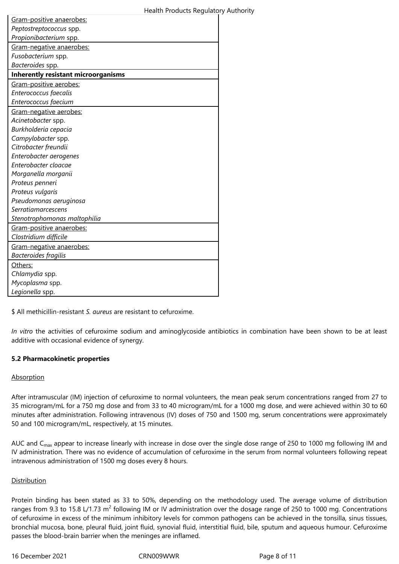| Gram-positive anaerobes:                   |
|--------------------------------------------|
| Peptostreptococcus spp.                    |
| Propionibacterium spp.                     |
| Gram-negative anaerobes:                   |
| Fusobacterium spp.                         |
| Bacteroides spp.                           |
| <b>Inherently resistant microorganisms</b> |
| Gram-positive aerobes:                     |
| Enterococcus faecalis                      |
| Enterococcus faecium                       |
| Gram-negative aerobes:                     |
| Acinetobacter spp.                         |
| Burkholderia cepacia                       |
| Campylobacter spp.                         |
| Citrobacter freundii                       |
| Enterobacter aerogenes                     |
| Enterobacter cloacae                       |
| Morganella morganii                        |
| Proteus penneri                            |
| Proteus vulgaris                           |
| Pseudomonas aeruginosa                     |
| <b>Serratiamarcescens</b>                  |
| Stenotrophomonas maltophilia               |
| Gram-positive anaerobes:                   |
| Clostridium difficile                      |
| Gram-negative anaerobes:                   |
| Bacteroides fragilis                       |
| Others:                                    |
| Chlamydia spp.                             |
| Mycoplasma spp.                            |
| Legionella spp.                            |

\$ All methicillin-resistant *S. aureus* are resistant to cefuroxime.

*In vitro* the activities of cefuroxime sodium and aminoglycoside antibiotics in combination have been shown to be at least additive with occasional evidence of synergy.

## **5.2 Pharmacokinetic properties**

#### **Absorption**

After intramuscular (IM) injection of cefuroxime to normal volunteers, the mean peak serum concentrations ranged from 27 to 35 microgram/mL for a 750 mg dose and from 33 to 40 microgram/mL for a 1000 mg dose, and were achieved within 30 to 60 minutes after administration. Following intravenous (IV) doses of 750 and 1500 mg, serum concentrations were approximately 50 and 100 microgram/mL, respectively, at 15 minutes.

AUC and  $C_{\text{max}}$  appear to increase linearly with increase in dose over the single dose range of 250 to 1000 mg following IM and IV administration. There was no evidence of accumulation of cefuroxime in the serum from normal volunteers following repeat intravenous administration of 1500 mg doses every 8 hours.

#### Distribution

Protein binding has been stated as 33 to 50%, depending on the methodology used. The average volume of distribution ranges from 9.3 to 15.8 L/1.73 m<sup>2</sup> following IM or IV administration over the dosage range of 250 to 1000 mg. Concentrations of cefuroxime in excess of the minimum inhibitory levels for common pathogens can be achieved in the tonsilla, sinus tissues, bronchial mucosa, bone, pleural fluid, joint fluid, synovial fluid, interstitial fluid, bile, sputum and aqueous humour. Cefuroxime passes the blood-brain barrier when the meninges are inflamed.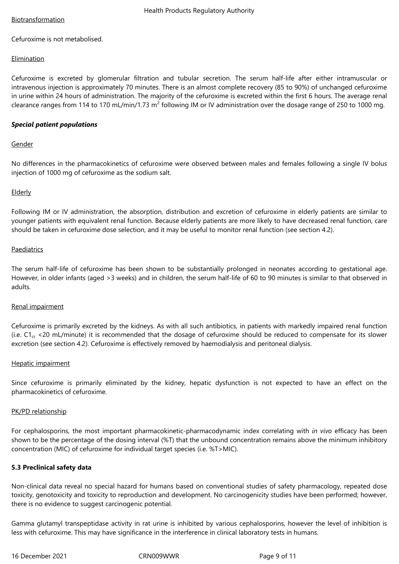## Biotransformation

Cefuroxime is not metabolised.

## Elimination

Cefuroxime is excreted by glomerular filtration and tubular secretion. The serum half-life after either intramuscular or intravenous injection is approximately 70 minutes. There is an almost complete recovery (85 to 90%) of unchanged cefuroxime in urine within 24 hours of administration. The majority of the cefuroxime is excreted within the first 6 hours. The average renal clearance ranges from 114 to 170 mL/min/1.73 m<sup>2</sup> following IM or IV administration over the dosage range of 250 to 1000 mg.

## *Special patient populations*

## Gender

No differences in the pharmacokinetics of cefuroxime were observed between males and females following a single IV bolus injection of 1000 mg of cefuroxime as the sodium salt.

## Elderly

Following IM or IV administration, the absorption, distribution and excretion of cefuroxime in elderly patients are similar to younger patients with equivalent renal function. Because elderly patients are more likely to have decreased renal function, care should be taken in cefuroxime dose selection, and it may be useful to monitor renal function (see section 4.2).

#### Paediatrics

The serum half-life of cefuroxime has been shown to be substantially prolonged in neonates according to gestational age. However, in older infants (aged >3 weeks) and in children, the serum half-life of 60 to 90 minutes is similar to that observed in adults.

#### Renal impairment

Cefuroxime is primarily excreted by the kidneys. As with all such antibiotics, in patients with markedly impaired renal function (i.e.  $C1_{cr}$  <20 mL/minute) it is recommended that the dosage of cefuroxime should be reduced to compensate for its slower excretion (see section 4.2). Cefuroxime is effectively removed by haemodialysis and peritoneal dialysis.

## Hepatic impairment

Since cefuroxime is primarily eliminated by the kidney, hepatic dysfunction is not expected to have an effect on the pharmacokinetics of cefuroxime.

#### PK/PD relationship

For cephalosporins, the most important pharmacokinetic-pharmacodynamic index correlating with *in vivo* efficacy has been shown to be the percentage of the dosing interval (%T) that the unbound concentration remains above the minimum inhibitory concentration (MIC) of cefuroxime for individual target species (i.e. %T>MIC).

## **5.3 Preclinical safety data**

Non-clinical data reveal no special hazard for humans based on conventional studies of safety pharmacology, repeated dose toxicity, genotoxicity and toxicity to reproduction and development. No carcinogenicity studies have been performed; however, there is no evidence to suggest carcinogenic potential.

Gamma glutamyl transpeptidase activity in rat urine is inhibited by various cephalosporins, however the level of inhibition is less with cefuroxime. This may have significance in the interference in clinical laboratory tests in humans.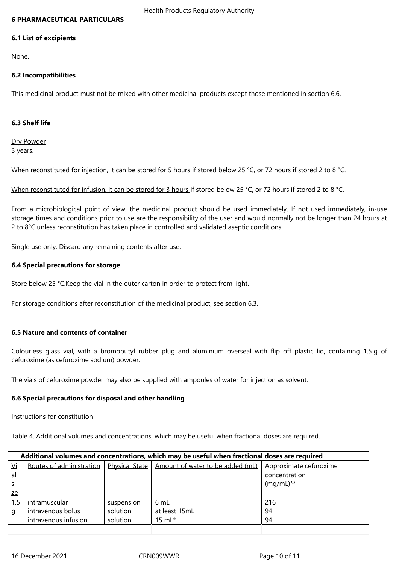#### **6 PHARMACEUTICAL PARTICULARS**

#### **6.1 List of excipients**

None.

## **6.2 Incompatibilities**

This medicinal product must not be mixed with other medicinal products except those mentioned in section 6.6.

## **6.3 Shelf life**

Dry Powder 3 years.

When reconstituted for injection, it can be stored for 5 hours if stored below 25 °C, or 72 hours if stored 2 to 8 °C.

When reconstituted for infusion, it can be stored for 3 hours if stored below 25 °C, or 72 hours if stored 2 to 8 °C.

From a microbiological point of view, the medicinal product should be used immediately. If not used immediately, in-use storage times and conditions prior to use are the responsibility of the user and would normally not be longer than 24 hours at 2 to 8°C unless reconstitution has taken place in controlled and validated aseptic conditions.

Single use only. Discard any remaining contents after use.

## **6.4 Special precautions for storage**

Store below 25 °C.Keep the vial in the outer carton in order to protect from light.

For storage conditions after reconstitution of the medicinal product, see section 6.3.

#### **6.5 Nature and contents of container**

Colourless glass vial, with a bromobutyl rubber plug and aluminium overseal with flip off plastic lid, containing 1.5 g of cefuroxime (as cefuroxime sodium) powder.

The vials of cefuroxime powder may also be supplied with ampoules of water for injection as solvent.

#### **6.6 Special precautions for disposal and other handling**

#### Instructions for constitution

Table 4. Additional volumes and concentrations, which may be useful when fractional doses are required.

|           | Additional volumes and concentrations, which may be useful when fractional doses are required |                       |                                  |                        |
|-----------|-----------------------------------------------------------------------------------------------|-----------------------|----------------------------------|------------------------|
| Vi        | Routes of administration                                                                      | <b>Physical State</b> | Amount of water to be added (mL) | Approximate cefuroxime |
| <u>al</u> |                                                                                               |                       |                                  | concentration          |
| si        |                                                                                               |                       |                                  | $(mq/mL)**$            |
| ze        |                                                                                               |                       |                                  |                        |
| $1.5\,$   | intramuscular                                                                                 | suspension            | 6mL                              | 216                    |
| g         | intravenous bolus                                                                             | solution              | at least 15mL                    | 94                     |
|           | intravenous infusion                                                                          | solution              | $15 \text{ mL}$ *                | 94                     |
|           |                                                                                               |                       |                                  |                        |